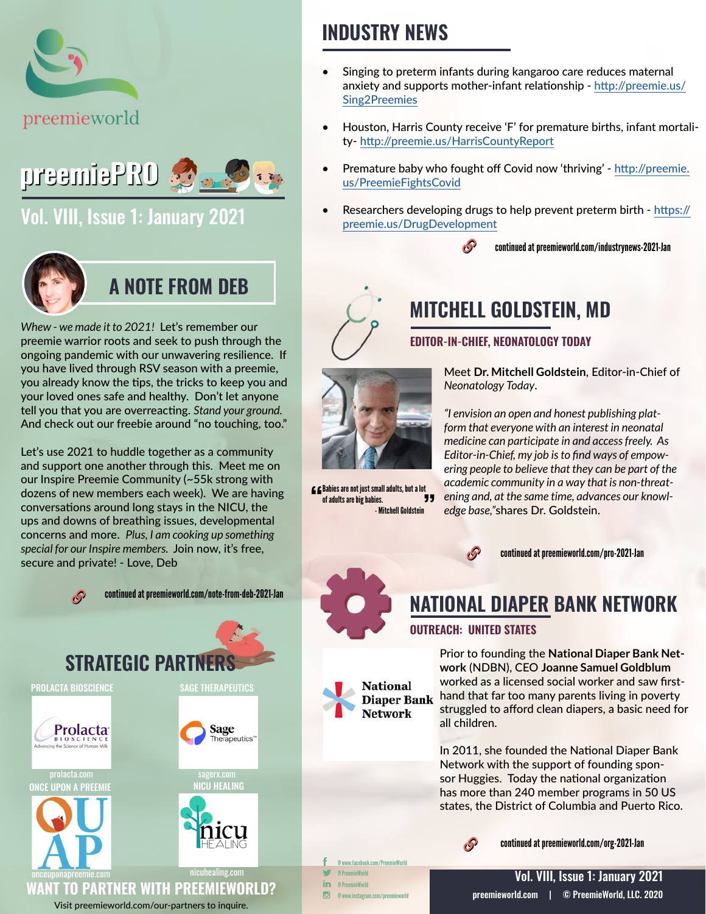



## [Vol. VIII, Issue 1: January 2021](https://preemieworld.com/preemie-pro-digital-issues/)



## **A NOTE FROM DEB**

*Whew - we made it to 2021!* Let's remember our preemie warrior roots and seek to push through the ongoing pandemic with our unwavering resilience. If you have lived through RSV season with a preemie, you already know the tips, the tricks to keep you and your loved ones safe and healthy. Don't let anyone tell you that you are overreacting. *Stand your ground.* And check out our freebie around "no touching, too."

Let's use 2021 to huddle together as a community and support one another through this. Meet me on our Inspire Preemie Community (~55k strong with dozens of new members each week). We are having conversations around long stays in the NICU, the ups and downs of breathing issues, developmental concerns and more. *Plus, I am cooking up something special for our Inspire members.* Join now, it's free, secure and private! - Love, Deb



continued at [preemieworld.com/note-from-deb-2021-](https://preemieworld.com/note-from-deb-2021-Jan)Jan



## **INDUSTRY NEWS**

- Singing to preterm infants during kangaroo care reduces maternal anxiety and supports mother-infant relationship - [http://preemie.us/](http://preemie.us/Sing2Preemies  ) [Sing2Preemies](http://preemie.us/Sing2Preemies  )
- Houston, Harris County receive 'F' for premature births, infant mortality- http://preemie.us/HarrisCountyReport
- Premature baby who fought off Covid now 'thriving' - [http://preemie.](http://preemie.us/PreemieFightsCovid) [us/PreemieFightsCovid](http://preemie.us/PreemieFightsCovid)
- Researchers developing drugs to help prevent preterm birth - [https://](https://preemie.us/DrugDevelopment) [preemie.us/DrugDevelopment](https://preemie.us/DrugDevelopment)
	- continued at [preemieworld.com/industrynews-2021-](https://preemieworld.com/industrynews-2021-Jan)Jan



# **MITCHELL GOLDSTEIN, MD**

### **EDITOR-IN-CHIEF, NEONATOLOGY TODAY**



 $\overline{\mathbf{f}}$   $\overline{\mathbf{f}}$  Babies are not just small adults, but a lot<br>of adults are high abies of adults are big babies.

- Mitchell Goldstein

**National Diaper Bank Network** 

Meet **Dr. Mitchell Goldstein**, Editor-in-Chief of *Neonatology Today*.

*"I envision an open and honest publishing platform that everyone with an interest in neonatal medicine can participate in and access freely. As Editor-in-Chief, my job is to find ways of empowering people to believe that they can be part of the academic community in a way that is non-threatening and, at the same time, advances our knowledge base,"*shares Dr. Goldstein.



continued at [preemieworld.com/pro-2021-](https://preemieworld.com/pro-2021-Jan)Jan

## **NATIONAL DIAPER BANK NETWORK**

### **OUTREACH: UNITED STATES**

Prior to founding the **National Diaper Bank Network** (NDBN), CEO **Joanne Samuel Goldblum**  worked as a licensed social worker and saw firsthand that far too many parents living in poverty struggled to afford clean diapers, a basic need for all children.

In 2011, she founded the National Diaper Bank Network with the support of founding sponsor Huggies. Today the national organization has more than 240 member programs in 50 US states, the District of Columbia and Puerto Rico.



continued at [preemieworld.com/org-2021-](https://preemieworld.com/org-2021-Jan)Jan

@ www.facebook.com/PreemieWorld @ PreemieWorld @ PreemieWorld @ www.instagram.com/preemieworld